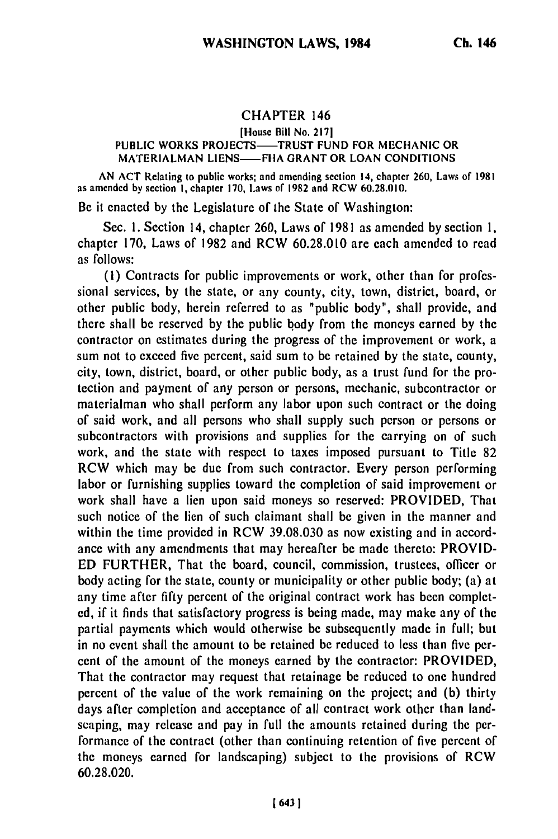## **CHAPTER 146**

## [House **Bill** No. **2171** PUBLIC WORKS PROJECTS-TRUST FUND FOR MECHANIC OR **MATERIALMAN LIENS-FHA** GRANT OR **LOAN CONDITIONS**

AN ACT Relating to public works; and amending section **14,** chapter 260, Laws of 1981 as amended by section **I,** chapter 170, Laws of 1982 and RCW 60.28.010.

Be it enacted by the Legislature of the State of Washington:

Sec. I. Section 14, chapter 260, Laws of 1981 as amended by section **1,** chapter 170, Laws of 1982 and RCW 60.28.010 are each amended to read as follows:

**(1)** Contracts for public improvements or work, other than for professional services, **by** the state, or any county, city, town, district, board, or other public body, herein referred to as "public body", shall provide, and there shall be reserved by the public body from the moneys earned by the contractor on estimates during the progress of the improvement or work, a sum not to exceed five percent, said sum to be retained by the state, county, city, town, district, board, or other public body, as a trust fund for the protection and payment of any person or persons, mechanic, subcontractor or materialman who shall perform any labor upon such contract or the doing of said work, and all persons who shall supply such person or persons or subcontractors with provisions and supplies for the carrying on of such work, and the state with respect to taxes imposed pursuant to Title 82 RCW which may be due from such contractor. Every person performing labor or furnishing supplies toward the completion of said improvement or work shall have a lien upon said moneys so reserved: PROVIDED, That such notice of the lien of such claimant shall be given in the manner and within the time provided in RCW 39.08.030 as now existing and in accordance with any amendments that may hereafter be made thereto: PROVID-ED FURTHER, That the board, council, commission, trustees, officer or body acting for the state, county or municipality or other public body; (a) at any time after fifty percent of the original contract work has been completed, if it finds that satisfactory progress is being made, may make any of the partial payments which would otherwise be subsequently made in full; but in no event shall the amount to be retained be reduced to less than five percent of the amount of the moneys earned by the contractor: PROVIDED, That the contractor may request that retainage be reduced to one hundred percent of the value of the work remaining on the project; and (b) thirty days after completion and acceptance of all contract work other than landscaping, may release and pay in full the amounts retained during the performance of the contract (other than continuing retention of five percent of the moneys earned for landscaping) subject to the provisions of RCW 60.28.020.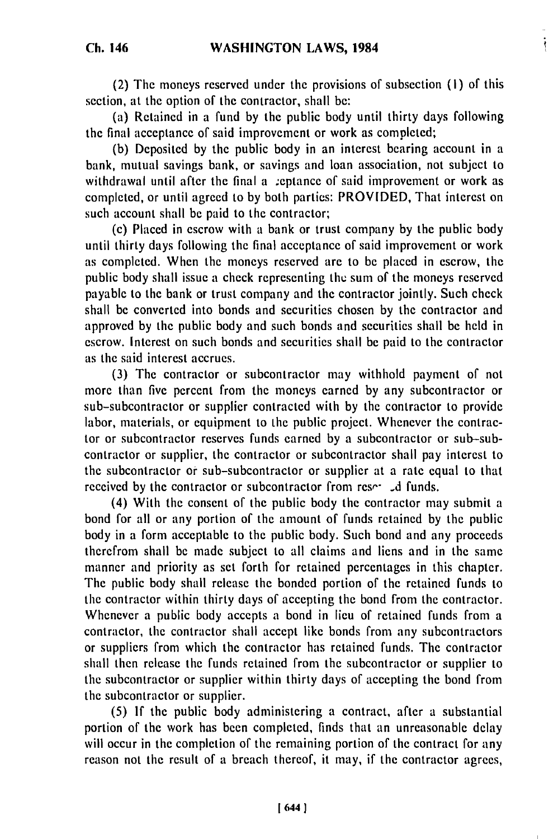$\ddot{\ddot{\text{}}}$ 

**Ch. 146**

(2) The moneys reserved under the provisions of subsection **(i)** of this section, at the option of the contractor, shall **be:**

(a) Retained in a fund **by** the public body until thirty days following the final acceptance of said improvement or work as completed;

**(b)** Deposited **by** the public body in an interest bearing account in a bank, mutual savings bank, or savings and loan association, not subject to withdrawal until after the final a ceptance of said improvement or work as completed, or until agreed to by both parties: PROVIDED, That interest on such account shall **be** paid to the contractor;

(c) Placed in escrow with a bank or trust company **by** the public body until thirty days following the final acceptance of said improvement or work as completed. When the moneys reserved are to be placed in escrow, the public body shall issue a check representing the sum of the moneys reserved payable to the bank or trust company and the contractor jointly. Such check shall be converted into bonds and securities chosen **by** the contractor and approved **by** the public body and such bonds and securities shall be held in escrow. Interest on such bonds and securities shall be paid to the contractor as the said interest accrues.

(3) The contractor or subcontractor may withhold payment of not more than five percent from the moneys earned by any subcontractor or sub-subcontractor or supplier contracted with **by** the contractor to provide labor, materials, or equipment to the public project. Whenever the contractor or subcontractor reserves funds earned by a subcontractor or sub-subcontractor or supplier, the contractor or subcontractor shall pay interest to the subcontractor or sub-subcontractor or supplier at a rate equal to that received by the contractor or subcontractor from resetable funds.

(4) With the consent of the public body the contractor may submit a bond for all or any portion of the amount of funds retained **by** the public body in a form acceptable to the public body. Such bond and any proceeds therefrom shall **be** made subject to all claims and liens and in the same manner and priority as set forth for retained percentages in this chapter. The public body shall release the bonded portion of the retained funds to the contractor within thirty days of accepting the bond from the contractor. Whenever a public body accepts a bond in lieu of retained funds from a contractor, the contractor shall accept like bonds from any subcontractors or suppliers from which the contractor has retained funds. The contractor shall then release the funds retained from the subcontractor or supplier to the subcontractor or supplier within thirty days of accepting the bond from the subcontractor or supplier.

(5) If the public body administering a contract, after a substantial portion of the work has been completed, finds that an unreasonable delay will occur in the completion of the remaining portion of the contract for any reason not the result of a breach thereof, it may, if the contractor agrees,